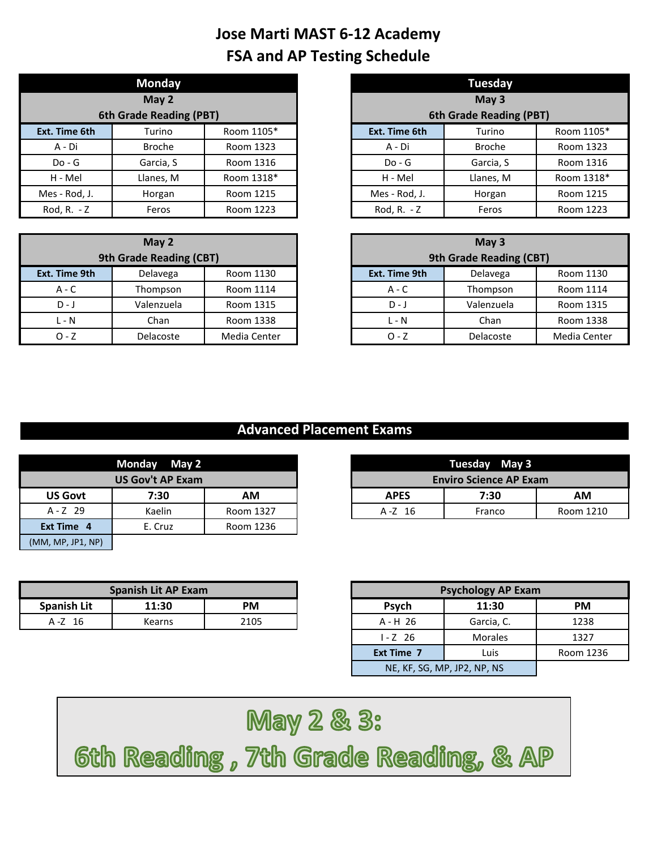|               | Monday                  |            |
|---------------|-------------------------|------------|
|               | May 2                   |            |
|               | 6th Grade Reading (PBT) |            |
| Ext. Time 6th | Turino                  | Room 1105* |
| A - Di        | <b>Broche</b>           | Room 1323  |
| $Do - G$      | Garcia, S               | Room 1316  |
| H - Mel       | Llanes, M               | Room 1318* |
| Mes - Rod, J. | Horgan                  | Room 1215  |
| Rod, R. $- Z$ | Feros                   | Room 1223  |

|               | May 2                   |              |               | May 3                   |             |
|---------------|-------------------------|--------------|---------------|-------------------------|-------------|
|               | 9th Grade Reading (CBT) |              |               | 9th Grade Reading (CBT) |             |
| Ext. Time 9th | Delavega                | Room 1130    | Ext. Time 9th | Delavega                | Room 1130   |
| $A - C$       | Thompson                | Room 1114    | $A - C$       | Thompson                | Room 1114   |
| $D - J$       | Valenzuela              | Room 1315    | $D - J$       | Valenzuela              | Room 1315   |
| L - N         | Chan                    | Room 1338    | $L - N$       | Chan                    | Room 1338   |
| $O - Z$       | Delacoste               | Media Center | $O - Z$       | Delacoste               | Media Cente |

|                | <b>Monday</b>           |            |               | Tuesday                 |            |
|----------------|-------------------------|------------|---------------|-------------------------|------------|
|                | May 2                   |            |               | May $3$                 |            |
|                | 6th Grade Reading (PBT) |            |               | 6th Grade Reading (PBT) |            |
| xt. Time 6th   | Turino                  | Room 1105* | Ext. Time 6th | Turino                  | Room 1105* |
| A - Di         | <b>Broche</b>           | Room 1323  | A - Di        | <b>Broche</b>           | Room 1323  |
| $Do - G$       | Garcia, S               | Room 1316  | $Do - G$      | Garcia, S               | Room 1316  |
| H - Mel        | Llanes, M               | Room 1318* | H - Mel       | Llanes, M               | Room 1318* |
| /les - Rod, J. | Horgan                  | Room 1215  | Mes - Rod, J. | Horgan                  | Room 1215  |
| Rod, R. - Z    | Feros                   | Room 1223  | Rod, R. $- Z$ | Feros                   | Room 1223  |

|          | May $2$                 |              |               | May 3                   |              |
|----------|-------------------------|--------------|---------------|-------------------------|--------------|
|          | 9th Grade Reading (CBT) |              |               | 9th Grade Reading (CBT) |              |
| Time 9th | Delavega                | Room 1130    | Ext. Time 9th | Delavega                | Room 1130    |
| A - C    | Thompson                | Room 1114    | $A - C$       | Thompson                | Room 1114    |
| $D - J$  | Valenzuela              | Room 1315    | $D - J$       | Valenzuela              | Room 1315    |
| $L - N$  | Chan                    | Room 1338    | $L - N$       | Chan                    | Room 1338    |
| $0 - 7$  | <b>Delacoste</b>        | Media Center | $O - Z$       | Delacoste               | Media Center |

|                   | Monday May 2            |           |             | Tuesday May 3                 |        |
|-------------------|-------------------------|-----------|-------------|-------------------------------|--------|
|                   | <b>US Gov't AP Exam</b> |           |             | <b>Enviro Science AP Exam</b> |        |
| <b>US Govt</b>    | 7:30                    | <b>AM</b> | <b>APES</b> | 7:30                          |        |
| $A - Z$ 29        | Kaelin                  | Room 1327 | A-Z 16      | Franco                        | Room 1 |
| Ext Time 4        | E. Cruz                 | Room 1236 |             |                               |        |
| (MM, MP, JP1, NP) |                         |           |             |                               |        |

| Spanish Lit AP Exam |        |      | <b>Psychology AP Exam</b> |            |      |
|---------------------|--------|------|---------------------------|------------|------|
| <b>Spanish Lit</b>  | 11:30  | PM   | 11:30<br>Psych            |            | PM   |
| 16<br>A -Z          | Kearns | 2105 | A-H 26                    | Garcia, C. | 123. |

|         | Monday May 2            |           |             | Tuesday May 3                 |           |
|---------|-------------------------|-----------|-------------|-------------------------------|-----------|
|         | <b>US Gov't AP Exam</b> |           |             | <b>Enviro Science AP Exam</b> |           |
| US Govt | 7:30                    | ΑM        | <b>APES</b> | 7:30                          | АM        |
| A-Z 29  | Kaelin                  | Room 1327 | $A - Z$ 16  | Franco                        | Room 1210 |
|         |                         |           |             |                               |           |

|           | <b>Spanish Lit AP Exam</b> |           |                   |                             | <b>Psychology AP Exam</b> |
|-----------|----------------------------|-----------|-------------------|-----------------------------|---------------------------|
| anish Lit | 11:30                      | <b>PM</b> | <b>Psych</b>      |                             |                           |
| A -Z 16   | <b>Kearns</b>              | 2105      | $A - H$ 26        |                             |                           |
|           |                            |           | $1 - Z$ 26        |                             |                           |
|           |                            |           | <b>Ext Time 7</b> |                             |                           |
|           |                            |           |                   | NE, KF, SG, MP, JP2, NP, NS |                           |

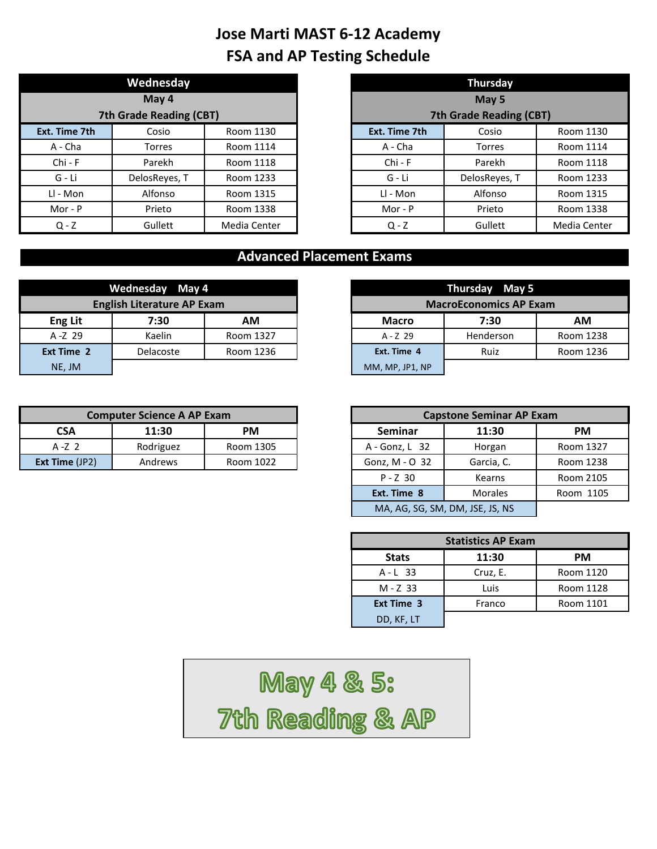|               | Wednesday               |              |  |               | <b>Thursday</b>         |
|---------------|-------------------------|--------------|--|---------------|-------------------------|
|               | May 4                   |              |  |               | May 5                   |
|               | 7th Grade Reading (CBT) |              |  |               | 7th Grade Reading (CBT) |
| Ext. Time 7th | Cosio                   | Room 1130    |  | Ext. Time 7th | Cosio                   |
| A - Cha       | Torres                  | Room 1114    |  | A - Cha       | Torres                  |
| Chi - F       | Parekh                  | Room 1118    |  | $Chi - F$     | Parekh                  |
| G - Li        | DelosReyes, T           | Room 1233    |  | $G - Li$      | DelosReyes, T           |
| LI - Mon      | Alfonso                 | Room 1315    |  | Ll - Mon      | Alfonso                 |
| Mor - P       | Prieto                  | Room 1338    |  | Mor - $P$     | Prieto                  |
| $Q - Z$       | Gullett                 | Media Center |  | $Q - Z$       | Gullett                 |

|                     | Wednesday               |              |               | <b>Thursday</b>                |              |
|---------------------|-------------------------|--------------|---------------|--------------------------------|--------------|
|                     | May 4                   |              |               | May 5                          |              |
|                     | 7th Grade Reading (CBT) |              |               | <b>7th Grade Reading (CBT)</b> |              |
| t <b>. Time 7th</b> | Cosio                   | Room 1130    | Ext. Time 7th | Cosio                          | Room 1130    |
| A - Cha             | Torres                  | Room 1114    | A - Cha       | <b>Torres</b>                  | Room 1114    |
| $Chi - F$           | Parekh                  | Room 1118    | $Chi - F$     | Parekh                         | Room 1118    |
| G - Li              | DelosReyes, T           | Room 1233    | G - Li        | DelosReyes, T                  | Room 1233    |
| Ll - Mon            | Alfonso                 | Room 1315    | LI - Mon      | Alfonso                        | Room 1315    |
| Mor - $P$           | Prieto                  | Room 1338    | $Mor - P$     | Prieto                         | Room 1338    |
| $Q - Z$             | Gullett                 | Media Center | $Q - Z$       | Gullett                        | Media Center |

|                | Wednesday May 4                   |           |                 |
|----------------|-----------------------------------|-----------|-----------------|
|                | <b>English Literature AP Exam</b> |           |                 |
| <b>Eng Lit</b> | 7:30                              | АM        | <b>Macro</b>    |
| $A - Z$ 29     | Kaelin                            | Room 1327 | $A - Z$ 29      |
| Ext Time 2     | <b>Delacoste</b>                  | Room 1236 | Ext. Time 4     |
| NE, JM         |                                   |           | MM, MP, JP1, NP |

|                  | <b>Computer Science A AP Exam</b> |           |                  | <b>Capstone Seminar AP Exam</b> |
|------------------|-----------------------------------|-----------|------------------|---------------------------------|
| <b>CSA</b>       | 11:30                             | PМ        | Seminar          | 11:30                           |
| $A - Z$ 2        | Rodriguez                         | Room 1305 | $A - Gonz, L$ 32 | Horgan                          |
| Ext Time $(JP2)$ | Andrews                           | Room 1022 | Gonz, M - O 32   | Garcia, C.                      |

| Wednesday May 4                   |            |           |  |                 | Thursday May 5                |           |
|-----------------------------------|------------|-----------|--|-----------------|-------------------------------|-----------|
| <b>English Literature AP Exam</b> |            |           |  |                 | <b>MacroEconomics AP Exam</b> |           |
| <b>Eng Lit</b>                    | 7:30<br>АM |           |  | <b>Macro</b>    | 7:30                          | ΑM        |
| $A - Z$ 29                        | Kaelin     | Room 1327 |  | $A - Z$ 29      | Henderson                     | Room 1238 |
| Ext Time 2                        | Delacoste  | Room 1236 |  | Ext. Time 4     | Ruiz                          | Room 1236 |
| NE, JM                            |            |           |  | MM, MP, JP1, NP |                               |           |

|            | <b>Computer Science A AP Exam</b> |           |
|------------|-----------------------------------|-----------|
| <b>CSA</b> | 11:30                             | PM.       |
| A-Z 2      | Rodriguez                         | Room 1305 |
| Time (JP2) | Andrews                           | Room 1022 |
|            |                                   |           |
|            |                                   |           |
|            |                                   |           |

| <b>Statistics AP Exam</b> |          |           |  |  |  |  |
|---------------------------|----------|-----------|--|--|--|--|
| <b>Stats</b>              | 11:30    | <b>PM</b> |  |  |  |  |
| $A - L$ 33                | Cruz, E. | Room 1120 |  |  |  |  |
| $M - Z$ 33                | Luis     | Room 1128 |  |  |  |  |
| <b>Ext Time 3</b>         | Franco   | Room 1101 |  |  |  |  |
| DD, KF, LT                |          |           |  |  |  |  |

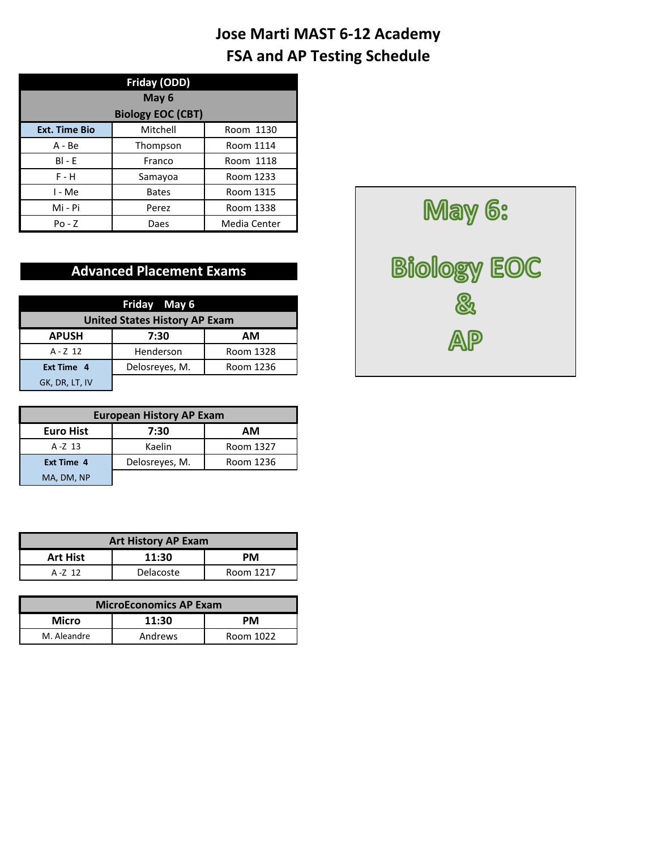| Friday (ODD)<br>May 6 |                          |              |  |  |  |  |
|-----------------------|--------------------------|--------------|--|--|--|--|
|                       | <b>Biology EOC (CBT)</b> |              |  |  |  |  |
| <b>Ext. Time Bio</b>  | Mitchell                 | Room 1130    |  |  |  |  |
| $A - Be$              | Thompson                 | Room 1114    |  |  |  |  |
| $BI - F$              | Franco                   | Room 1118    |  |  |  |  |
| $F - H$               | Samayoa                  | Room 1233    |  |  |  |  |
| I - Me                | <b>Bates</b>             | Room 1315    |  |  |  |  |
| Mi - Pi               | Perez                    | Room 1338    |  |  |  |  |
| Po - Z                | Daes                     | Media Center |  |  |  |  |

|                                      | Friday May 6   |           |  |  |  |  |
|--------------------------------------|----------------|-----------|--|--|--|--|
| <b>United States History AP Exam</b> |                |           |  |  |  |  |
| <b>APUSH</b>                         | 7:30           | AМ        |  |  |  |  |
| $A - Z$ 12                           | Henderson      | Room 1328 |  |  |  |  |
| Ext Time 4                           | Delosreyes, M. | Room 1236 |  |  |  |  |
| GK, DR, LT, IV                       |                |           |  |  |  |  |

| <b>European History AP Exam</b> |                |           |  |  |  |  |
|---------------------------------|----------------|-----------|--|--|--|--|
| <b>Euro Hist</b><br>7:30<br>AМ  |                |           |  |  |  |  |
| A-Z 13                          | Kaelin         | Room 1327 |  |  |  |  |
| <b>Ext Time 4</b>               | Delosreyes, M. | Room 1236 |  |  |  |  |
| MA, DM, NP                      |                |           |  |  |  |  |

| <b>Art History AP Exam</b>       |  |  |  |  |  |  |
|----------------------------------|--|--|--|--|--|--|
| <b>Art Hist</b><br>11:30<br>PМ   |  |  |  |  |  |  |
| Delacoste<br>Room 1217<br>A-7 12 |  |  |  |  |  |  |

| <b>MicroEconomics AP Exam</b>       |  |  |  |  |  |
|-------------------------------------|--|--|--|--|--|
| Micro<br>11:30<br>PМ                |  |  |  |  |  |
| Andrews<br>M. Aleandre<br>Room 1022 |  |  |  |  |  |

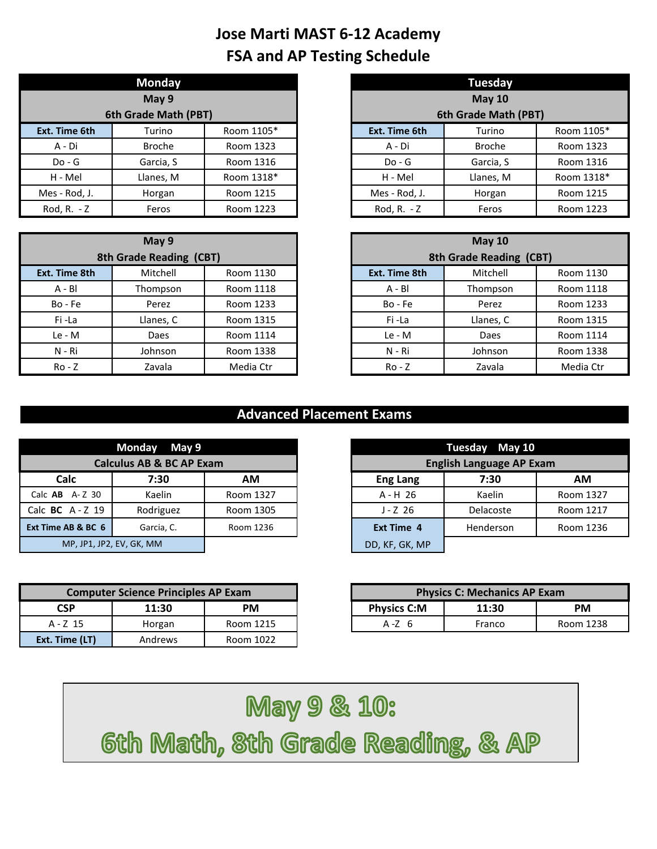|               | <b>Monday</b>        |            |               | <b>Tuesday</b>       |
|---------------|----------------------|------------|---------------|----------------------|
|               | May 9                |            |               | <b>May 10</b>        |
|               | 6th Grade Math (PBT) |            |               | 6th Grade Math (PBT) |
| Ext. Time 6th | Turino               | Room 1105* | Ext. Time 6th | Turino               |
| A - Di        | <b>Broche</b>        | Room 1323  | A - Di        | <b>Broche</b>        |
| $Do - G$      | Garcia, S            | Room 1316  | $Do - G$      | Garcia, S            |
| H - Mel       | Llanes, M            | Room 1318* | H - Mel       | Llanes, M            |
| Mes - Rod, J. | Horgan               | Room 1215  | Mes - Rod, J. | Horgan               |
| Rod, R. $- Z$ | Feros                | Room 1223  | Rod, R. - Z   | Feros                |

|                         | May 9     |           |               | <b>May 10</b>           |           |
|-------------------------|-----------|-----------|---------------|-------------------------|-----------|
| 8th Grade Reading (CBT) |           |           |               | 8th Grade Reading (CBT) |           |
| Ext. Time 8th           | Mitchell  | Room 1130 | Ext. Time 8th | Mitchell                | Room 1130 |
| $A - BI$                | Thompson  | Room 1118 | $A - BI$      | Thompson                | Room 1118 |
| Bo - Fe                 | Perez     | Room 1233 | Bo - Fe       | Perez                   | Room 1233 |
| Fi-La                   | Llanes, C | Room 1315 | Fi-La         | Llanes, C               | Room 1315 |
| Le - M                  | Daes      | Room 1114 | Le - M        | Daes                    | Room 1114 |
| N - Ri                  | Johnson   | Room 1338 | $N - Ri$      | Johnson                 | Room 1338 |
| $Ro - Z$                | Zavala    | Media Ctr | $Ro - Z$      | Zavala                  | Media Ctr |

|                | <b>Monday</b>        |            |               | <b>Tuesday</b>       |            |
|----------------|----------------------|------------|---------------|----------------------|------------|
|                | May 9                |            |               | <b>May 10</b>        |            |
|                | 6th Grade Math (PBT) |            |               | 6th Grade Math (PBT) |            |
| xt. Time 6th   | Turino               | Room 1105* | Ext. Time 6th | Turino               | Room 1105* |
| A - Di         | <b>Broche</b>        | Room 1323  | A - Di        | <b>Broche</b>        | Room 1323  |
| $Do - G$       | Garcia, S            | Room 1316  | $Do - G$      | Garcia, S            | Room 1316  |
| H - Mel        | Llanes, M            | Room 1318* | H - Mel       | Llanes, M            | Room 1318* |
| /les - Rod, J. | Horgan               | Room 1215  | Mes - Rod, J. | Horgan               | Room 1215  |
| Rod, R. - Z    | Feros                | Room 1223  | Rod, R. - Z   | Feros                | Room 1223  |

|                         | May 9     |           |               | May $10$                |           |
|-------------------------|-----------|-----------|---------------|-------------------------|-----------|
| 8th Grade Reading (CBT) |           |           |               | 8th Grade Reading (CBT) |           |
| Time 8th                | Mitchell  | Room 1130 | Ext. Time 8th | Mitchell                | Room 1130 |
| A - Bl                  | Thompson  | Room 1118 | $A - BI$      | Thompson                | Room 1118 |
| Bo - Fe                 | Perez     | Room 1233 | Bo - Fe       | Perez                   | Room 1233 |
| Fi-La                   | Llanes, C | Room 1315 | Fi-La         | Llanes, C               | Room 1315 |
| $Le - M$                | Daes      | Room 1114 | $Le - M$      | Daes                    | Room 1114 |
| N - Ri                  | Johnson   | Room 1338 | N - Ri        | Johnson                 | Room 1338 |
| $Ro - Z$                | Zavala    | Media Ctr | $Ro - Z$      | Zavala                  | Media Ctr |

|                    | Monday May 9                        |           |                   | Tuesday May 10                  |
|--------------------|-------------------------------------|-----------|-------------------|---------------------------------|
|                    | <b>Calculus AB &amp; BC AP Exam</b> |           |                   | <b>English Language AP Exam</b> |
| Calc               | 7:30                                | AM        | <b>Eng Lang</b>   | 7:30                            |
| Calc $AB$ $A-Z$ 30 | Kaelin                              | Room 1327 | $A - H$ 26        | Kaelin                          |
| Calc BC $A - Z$ 19 | Rodriguez                           | Room 1305 | $J - Z$ 26        | Delacoste                       |
| Ext Time AB & BC 6 | Garcia, C.                          | Room 1236 | <b>Ext Time 4</b> | Henderson                       |
|                    | MP, JP1, JP2, EV, GK, MM            |           | DD, KF, GK, MP    |                                 |

|                | <b>Computer Science Principles AP Exam</b> |           |                    | <b>Physics C: Mechanics AP Exam</b> |   |
|----------------|--------------------------------------------|-----------|--------------------|-------------------------------------|---|
| <b>CSP</b>     | 11:30                                      | PM.       | <b>Physics C:M</b> | 11:30                               |   |
| A - Z 15       | Horgan                                     | Room 1215 | $A - Z$ 6          | Franco                              | R |
| Ext. Time (LT) | Andrews                                    | Room 1022 |                    |                                     |   |

|                          | Monday May 9                        |           |  |                   | Tuesday May 10 |           |  |                                 |  |
|--------------------------|-------------------------------------|-----------|--|-------------------|----------------|-----------|--|---------------------------------|--|
|                          | <b>Calculus AB &amp; BC AP Exam</b> |           |  |                   |                |           |  | <b>English Language AP Exam</b> |  |
| Calc                     | 7:30                                | <b>AM</b> |  | <b>Eng Lang</b>   | 7:30           | <b>AM</b> |  |                                 |  |
| $AB$ A-Z 30              | Kaelin                              | Room 1327 |  | $A - H$ 26        | Kaelin         | Room 1327 |  |                                 |  |
| $C$ A - Z 19             | Rodriguez                           | Room 1305 |  | $J - Z$ 26        | Delacoste      | Room 1217 |  |                                 |  |
| e AB & BC 6              | Garcia, C.                          | Room 1236 |  | <b>Ext Time 4</b> | Henderson      | Room 1236 |  |                                 |  |
| MP, JP1, JP2, EV, GK, MM |                                     |           |  | DD, KF, GK, MP    |                |           |  |                                 |  |

|            | <b>Computer Science Principles AP Exam</b> |           |                    | <b>Physics C: Mechanics AP Exam</b> |           |
|------------|--------------------------------------------|-----------|--------------------|-------------------------------------|-----------|
| <b>CSP</b> | 11:30                                      | PM        | <b>Physics C:M</b> | 11:30                               | PM        |
| A - Z 15   | Horgan                                     | Room 1215 | $A - Z$ 6          | Franco                              | Room 1238 |

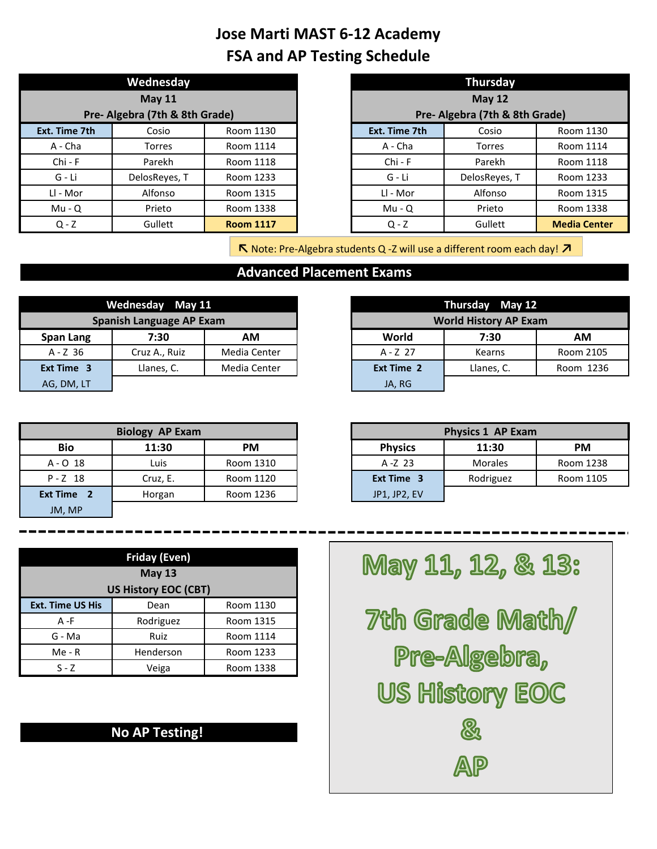|                                | Wednesday     |                  |                                | <b>Thursday</b> |                    |
|--------------------------------|---------------|------------------|--------------------------------|-----------------|--------------------|
|                                | <b>May 11</b> |                  |                                | <b>May 12</b>   |                    |
| Pre- Algebra (7th & 8th Grade) |               |                  | Pre- Algebra (7th & 8th Grade) |                 |                    |
| Ext. Time 7th                  | Cosio         | Room 1130        | Ext. Time 7th                  | Cosio           | Room 1130          |
| A - Cha                        | <b>Torres</b> | Room 1114        | A - Cha                        | Torres          | Room 1114          |
| $Chi - F$                      | Parekh        | Room 1118        | $Chi - F$                      | Parekh          | Room 1118          |
| G - Li                         | DelosReyes, T | Room 1233        | G - Li                         | DelosReyes, T   | Room 1233          |
| Ll - Mor                       | Alfonso       | Room 1315        | Ll - Mor                       | Alfonso         | Room 1315          |
| $Mu - Q$                       | Prieto        | Room 1338        | $Mu - Q$                       | Prieto          | Room 1338          |
| $Q - Z$                        | Gullett       | <b>Room 1117</b> | $Q - Z$                        | Gullett         | <b>Media Cente</b> |

|           | Wednesday                      |                  |               | <b>Thursday</b>                |                     |
|-----------|--------------------------------|------------------|---------------|--------------------------------|---------------------|
|           | May $11$                       |                  | <b>May 12</b> |                                |                     |
|           | Pre- Algebra (7th & 8th Grade) |                  |               | Pre- Algebra (7th & 8th Grade) |                     |
| Time 7th  | Cosio                          | Room 1130        | Ext. Time 7th | Cosio                          | Room 1130           |
| A - Cha   | Torres                         | Room 1114        | A - Cha       | <b>Torres</b>                  | Room 1114           |
| $Chi - F$ | Parekh                         | Room 1118        | $Chi - F$     | Parekh                         | Room 1118           |
| G - Li    | DelosReyes, T                  | Room 1233        | G - Li        | DelosReyes, T                  | Room 1233           |
| Ll - Mor  | Alfonso                        | Room 1315        | Ll - Mor      | Alfonso                        | Room 1315           |
| $Mu - Q$  | Prieto                         | Room 1338        | $Mu - Q$      | Prieto                         | Room 1338           |
| $Q - Z$   | Gullett                        | <b>Room 1117</b> | $Q - Z$       | Gullett                        | <b>Media Center</b> |

**↖** Note: Pre-Algebra students Q -Z will use a different room each day! **↗**

#### **Advanced Placement Exams**

|            | Wednesday May 11                |              |            | Thursday May 12              |           |
|------------|---------------------------------|--------------|------------|------------------------------|-----------|
|            | <b>Spanish Language AP Exam</b> |              |            | <b>World History AP Exam</b> |           |
| Span Lang  | 7:30                            | АM           | World      | 7:30                         | АM        |
| $A - Z$ 36 | Cruz A., Ruiz                   | Media Center | A - Z 27   | Kearns                       | Room 2105 |
| Ext Time 3 | Llanes, C.                      | Media Center | Ext Time 2 | Llanes, C.                   | Room 1236 |
| AG, DM, LT |                                 |              | JA, RG     |                              |           |

| Ext Time 3 | Llanes, C.             | Media Center | Ext Time 2     | Llanes, C.        | Room 1236 |
|------------|------------------------|--------------|----------------|-------------------|-----------|
| AG, DM, LT |                        |              | JA, RG         |                   |           |
|            |                        |              |                |                   |           |
|            |                        |              |                |                   |           |
|            | <b>Biology AP Exam</b> |              |                | Physics 1 AP Exam |           |
| <b>Bio</b> | 11:30                  | PM           | <b>Physics</b> | 11:30             | <b>PM</b> |

|            | <b>Biology AP Exam</b> |           |                   |
|------------|------------------------|-----------|-------------------|
| Bio        | 11:30                  | <b>PM</b> | <b>Physics</b>    |
| $A - O$ 18 | Luis                   | Room 1310 | $A - Z$ 23        |
| $P - Z$ 18 | Cruz, E.               | Room 1120 | <b>Ext Time 3</b> |
| Ext Time 2 | Horgan                 | Room 1236 | JP1, JP2, EV      |
| JM, MP     |                        |           |                   |

|            | <b>Biology AP Exam</b> |           |                | <b>Physics 1 AP Exam</b> |           |
|------------|------------------------|-----------|----------------|--------------------------|-----------|
| <b>Bio</b> | 11:30                  | <b>PM</b> | <b>Physics</b> | 11:30                    | <b>PM</b> |
| A-O 18     | Luis                   | Room 1310 | $A - Z$ 23     | <b>Morales</b>           | Room 1238 |
| $P - Z$ 18 | Cruz, E.               | Room 1120 | Ext Time 3     | Rodriguez                | Room 1105 |
| (t Time    | Horgan                 | Room 1236 | JP1, JP2, EV   |                          |           |

|                         | <b>Friday (Even)</b>        |           |  |  |  |  |
|-------------------------|-----------------------------|-----------|--|--|--|--|
|                         | <b>May 13</b>               |           |  |  |  |  |
|                         | <b>US History EOC (CBT)</b> |           |  |  |  |  |
| <b>Ext. Time US His</b> | Dean                        | Room 1130 |  |  |  |  |
| $A - F$                 | Rodriguez                   | Room 1315 |  |  |  |  |
| G - Ma                  | Ruiz                        | Room 1114 |  |  |  |  |
| $Me - R$                | Henderson                   | Room 1233 |  |  |  |  |
| $S - 7$                 | Veiga                       | Room 1338 |  |  |  |  |

#### **No AP Testing!**

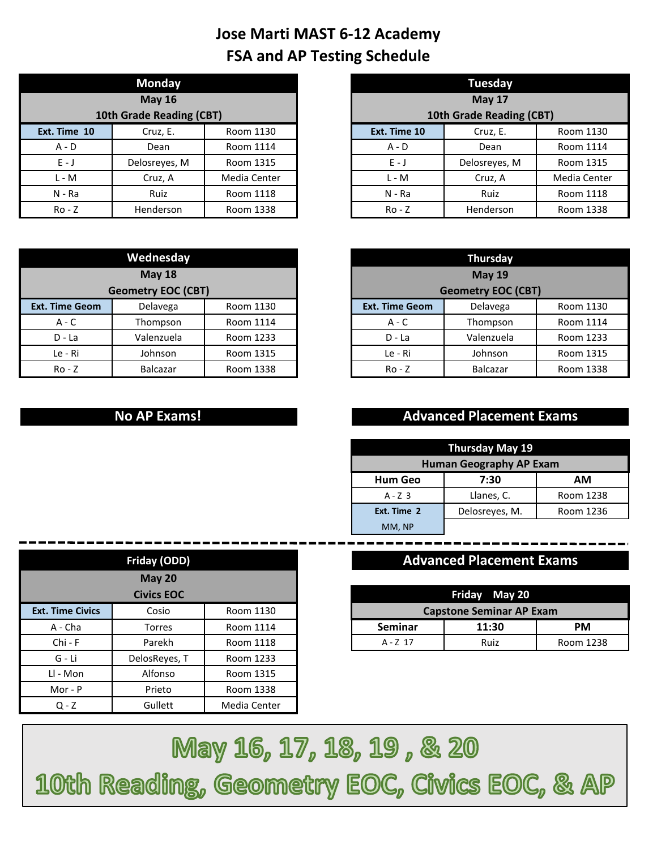|                          | <b>Monday</b> |              |  |                          | <b>Tuesday</b> |
|--------------------------|---------------|--------------|--|--------------------------|----------------|
|                          | <b>May 16</b> |              |  |                          | <b>May 17</b>  |
| 10th Grade Reading (CBT) |               |              |  | 10th Grade Reading (CBT) |                |
| Ext. Time 10             | Cruz, E.      | Room 1130    |  | Ext. Time 10             | Cruz, E.       |
| $A - D$                  | Dean          | Room 1114    |  | $A - D$                  | Dean           |
| $E - J$                  | Delosreyes, M | Room 1315    |  | $E - J$                  | Delosreyes, M  |
| $L - M$                  | Cruz, A       | Media Center |  | $L - M$                  | Cruz, A        |
| N - Ra                   | Ruiz          | Room 1118    |  | $N - Ra$                 | Ruiz           |
| $Ro - Z$                 | Henderson     | Room 1338    |  | $Ro - Z$                 | Henderson      |

|              | <b>Monday</b>            |              |              | Tuesday                  |              |
|--------------|--------------------------|--------------|--------------|--------------------------|--------------|
|              | <b>May 16</b>            |              |              | <b>May 17</b>            |              |
|              | 10th Grade Reading (CBT) |              |              | 10th Grade Reading (CBT) |              |
| Ext. Time 10 | Cruz, E.                 | Room 1130    | Ext. Time 10 | Room 1130                |              |
| $A - D$      | Dean                     | Room 1114    | $A - D$      | Dean                     | Room 1114    |
| $E - J$      | Delosreyes, M            | Room 1315    | $E - J$      | Delosreyes, M            | Room 1315    |
| $L - M$      | Cruz, A                  | Media Center | $L - M$      | Cruz, A                  | Media Center |
| $N - Ra$     | Ruiz                     | Room 1118    | $N - Ra$     | Ruiz                     | Room 1118    |
| $Ro - Z$     | Henderson                | Room 1338    | $Ro - Z$     | Henderson                | Room 1338    |

| Wednesday             |                           |           |  |
|-----------------------|---------------------------|-----------|--|
|                       | <b>May 18</b>             |           |  |
|                       | <b>Geometry EOC (CBT)</b> |           |  |
| <b>Ext. Time Geom</b> | Delavega                  | Room 1130 |  |
| $A - C$               | Thompson                  | Room 1114 |  |
| D - La                | Valenzuela                | Room 1233 |  |
| Le - Ri               | Johnson                   | Room 1315 |  |
| $Ro - Z$              | Balcazar                  | Room 1338 |  |

|                           | Wednesday     |           |                       | <b>Thursday</b>           |           |
|---------------------------|---------------|-----------|-----------------------|---------------------------|-----------|
|                           | <b>May 18</b> |           |                       | <b>May 19</b>             |           |
| <b>Geometry EOC (CBT)</b> |               |           |                       | <b>Geometry EOC (CBT)</b> |           |
| <b>Time Geom</b>          | Delavega      | Room 1130 | <b>Ext. Time Geom</b> | Delavega                  | Room 1130 |
| $A - C$                   | Thompson      | Room 1114 | $A - C$               | Thompson                  | Room 1114 |
| $D - La$                  | Valenzuela    | Room 1233 | $D - La$              | Valenzuela                | Room 1233 |
| Le - Ri                   | Johnson       | Room 1315 | Le - Ri               | Johnson                   | Room 1315 |
| $Ro - Z$                  | Balcazar      | Room 1338 | $Ro - Z$              | <b>Balcazar</b>           | Room 1338 |

#### **No AP Exams!**

#### **Advanced Placement Exams**

| Thursday May 19                |                |           |  |  |  |  |  |
|--------------------------------|----------------|-----------|--|--|--|--|--|
| <b>Human Geography AP Exam</b> |                |           |  |  |  |  |  |
| <b>Hum Geo</b><br>7:30<br>АM   |                |           |  |  |  |  |  |
| $A - Z$ 3                      | Llanes, C.     | Room 1238 |  |  |  |  |  |
| Ext. Time 2                    | Delosreyes, M. | Room 1236 |  |  |  |  |  |
| MM, NP                         |                |           |  |  |  |  |  |

### **Advanced Placement Exams**

|                    | <b>Civics EOC</b> |           |                                 | Friday May 20 |           |  |
|--------------------|-------------------|-----------|---------------------------------|---------------|-----------|--|
| <b>Time Civics</b> | Cosio             | Room 1130 | <b>Capstone Seminar AP Exam</b> |               |           |  |
| ላ - Cha            | Torres            | Room 1114 | <b>Seminar</b>                  | 11:30         | <b>PM</b> |  |
| Chi - F            | Parekh            | Room 1118 | A - Z 17                        | Ruiz          | Room 1238 |  |

|                         | Friday (ODD)      |              |                                 | <b>Advanced Placement Exams</b> |           |
|-------------------------|-------------------|--------------|---------------------------------|---------------------------------|-----------|
|                         | <b>May 20</b>     |              |                                 |                                 |           |
|                         | <b>Civics EOC</b> |              |                                 | Friday May 20                   |           |
| <b>Ext. Time Civics</b> | Cosio             | Room 1130    | <b>Capstone Seminar AP Exam</b> |                                 |           |
| A - Cha                 | Torres            | Room 1114    | <b>Seminar</b>                  | 11:30                           | <b>PM</b> |
| $Chi - F$               | Parekh            | Room 1118    | A-Z 17                          | Ruiz                            | Room 1    |
| G - Li                  | DelosReyes, T     | Room 1233    |                                 |                                 |           |
| LI - Mon                | Alfonso           | Room 1315    |                                 |                                 |           |
| Mor - $P$               | Prieto            | Room 1338    |                                 |                                 |           |
| $Q - Z$                 | Gullett           | Media Center |                                 |                                 |           |

May 16, 17, 18, 19, & 20 10th Reading, Geometry EOC, Civics EOC, & AP